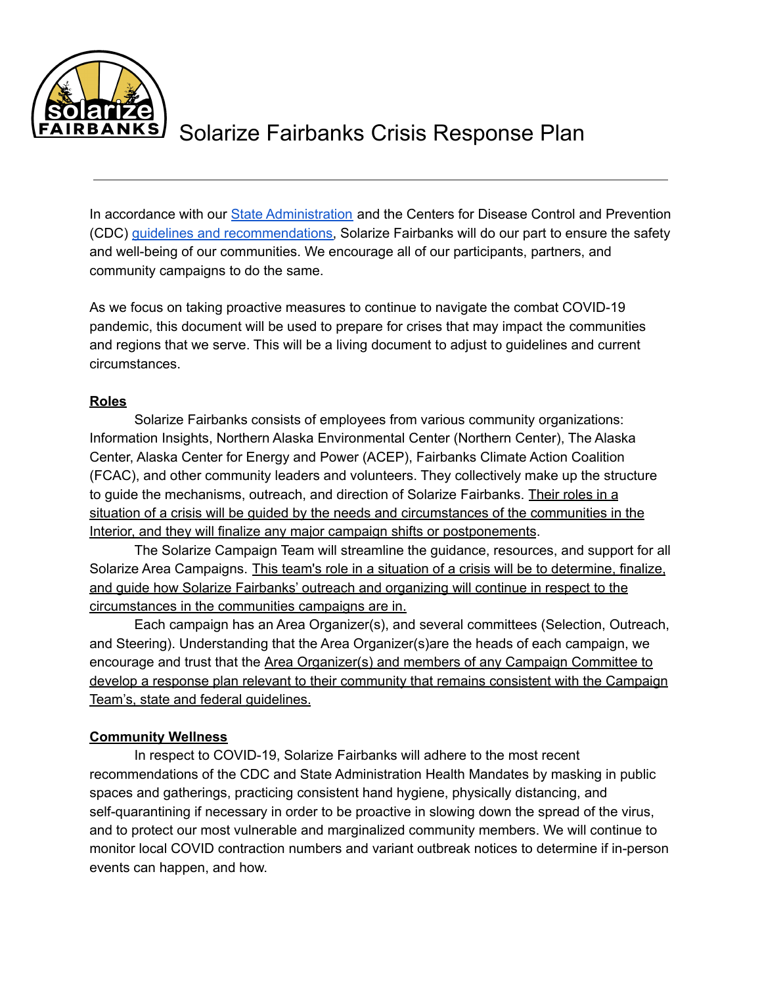

In accordance with our State [Administration](http://coronavirus.alaska.gov) and the Centers for Disease Control and Prevention (CDC) guidelines and [recommendations,](https://www.cdc.gov/coronavirus/2019-ncov/index.html) Solarize Fairbanks will do our part to ensure the safety and well-being of our communities. We encourage all of our participants, partners, and community campaigns to do the same.

As we focus on taking proactive measures to continue to navigate the combat COVID-19 pandemic, this document will be used to prepare for crises that may impact the communities and regions that we serve. This will be a living document to adjust to guidelines and current circumstances.

#### **Roles**

Solarize Fairbanks consists of employees from various community organizations: Information Insights, Northern Alaska Environmental Center (Northern Center), The Alaska Center, Alaska Center for Energy and Power (ACEP), Fairbanks Climate Action Coalition (FCAC), and other community leaders and volunteers. They collectively make up the structure to guide the mechanisms, outreach, and direction of Solarize Fairbanks. Their roles in a situation of a crisis will be guided by the needs and circumstances of the communities in the Interior, and they will finalize any major campaign shifts or postponements.

The Solarize Campaign Team will streamline the guidance, resources, and support for all Solarize Area Campaigns. This team's role in a situation of a crisis will be to determine, finalize, and guide how Solarize Fairbanks' outreach and organizing will continue in respect to the circumstances in the communities campaigns are in.

Each campaign has an Area Organizer(s), and several committees (Selection, Outreach, and Steering). Understanding that the Area Organizer(s)are the heads of each campaign, we encourage and trust that the Area Organizer(s) and members of any Campaign Committee to develop a response plan relevant to their community that remains consistent with the Campaign Team's, state and federal guidelines.

### **Community Wellness**

In respect to COVID-19, Solarize Fairbanks will adhere to the most recent recommendations of the CDC and State Administration Health Mandates by masking in public spaces and gatherings, practicing consistent hand hygiene, physically distancing, and self-quarantining if necessary in order to be proactive in slowing down the spread of the virus, and to protect our most vulnerable and marginalized community members. We will continue to monitor local COVID contraction numbers and variant outbreak notices to determine if in-person events can happen, and how.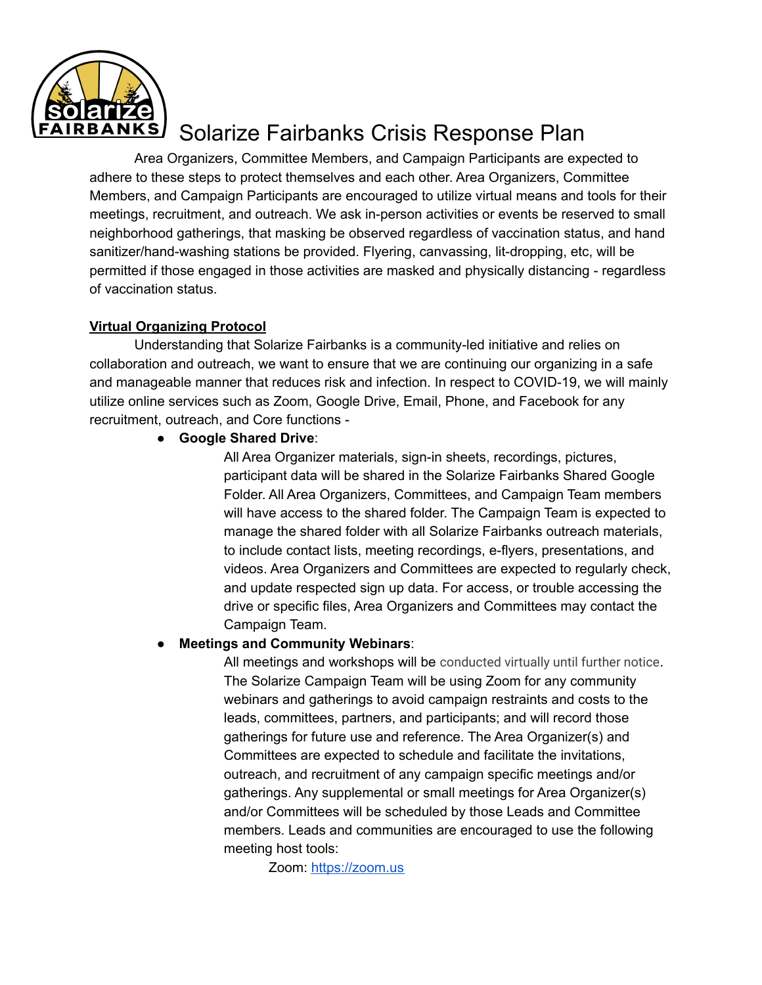

Area Organizers, Committee Members, and Campaign Participants are expected to adhere to these steps to protect themselves and each other. Area Organizers, Committee Members, and Campaign Participants are encouraged to utilize virtual means and tools for their meetings, recruitment, and outreach. We ask in-person activities or events be reserved to small neighborhood gatherings, that masking be observed regardless of vaccination status, and hand sanitizer/hand-washing stations be provided. Flyering, canvassing, lit-dropping, etc, will be permitted if those engaged in those activities are masked and physically distancing - regardless of vaccination status.

### **Virtual Organizing Protocol**

Understanding that Solarize Fairbanks is a community-led initiative and relies on collaboration and outreach, we want to ensure that we are continuing our organizing in a safe and manageable manner that reduces risk and infection. In respect to COVID-19, we will mainly utilize online services such as Zoom, Google Drive, Email, Phone, and Facebook for any recruitment, outreach, and Core functions -

● **Google Shared Drive**:

All Area Organizer materials, sign-in sheets, recordings, pictures, participant data will be shared in the Solarize Fairbanks Shared Google Folder. All Area Organizers, Committees, and Campaign Team members will have access to the shared folder. The Campaign Team is expected to manage the shared folder with all Solarize Fairbanks outreach materials, to include contact lists, meeting recordings, e-flyers, presentations, and videos. Area Organizers and Committees are expected to regularly check, and update respected sign up data. For access, or trouble accessing the drive or specific files, Area Organizers and Committees may contact the Campaign Team.

### ● **Meetings and Community Webinars**:

All meetings and workshops will be conducted virtually until further notice. The Solarize Campaign Team will be using Zoom for any community webinars and gatherings to avoid campaign restraints and costs to the leads, committees, partners, and participants; and will record those gatherings for future use and reference. The Area Organizer(s) and Committees are expected to schedule and facilitate the invitations, outreach, and recruitment of any campaign specific meetings and/or gatherings. Any supplemental or small meetings for Area Organizer(s) and/or Committees will be scheduled by those Leads and Committee members. Leads and communities are encouraged to use the following meeting host tools:

Zoom: [https://zoom.us](https://zoom.us/)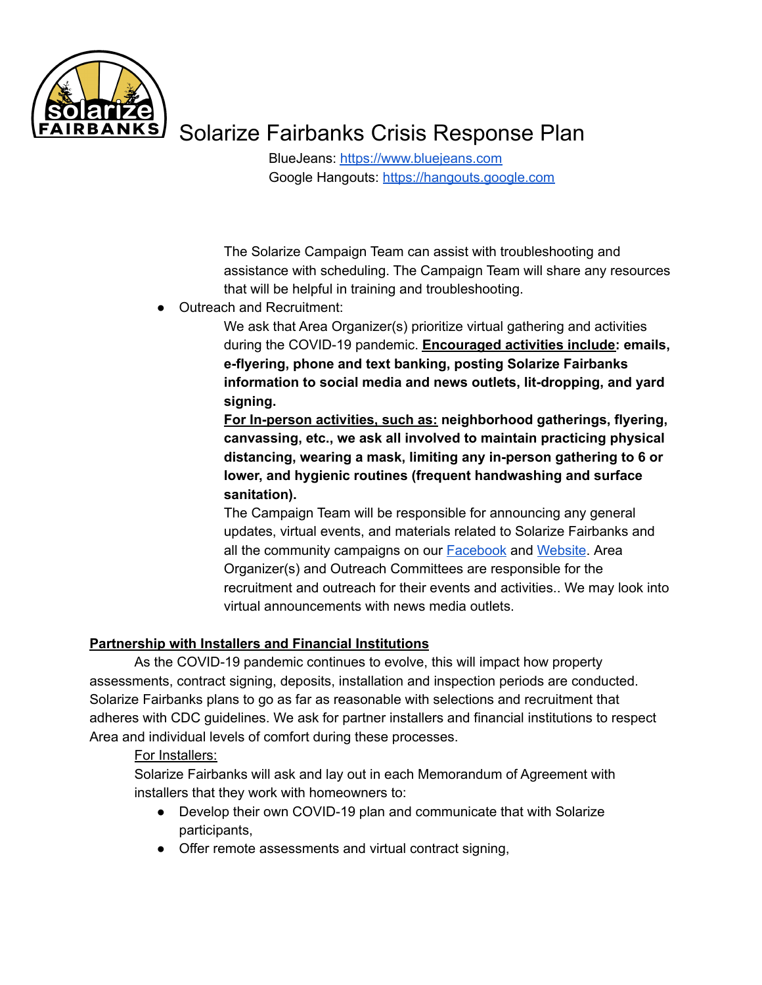

BlueJeans: [https://www.bluejeans.com](https://www.bluejeans.com/) Google Hangouts: [https://hangouts.google.com](https://hangouts.google.com/)

The Solarize Campaign Team can assist with troubleshooting and assistance with scheduling. The Campaign Team will share any resources that will be helpful in training and troubleshooting.

Outreach and Recruitment:

We ask that Area Organizer(s) prioritize virtual gathering and activities during the COVID-19 pandemic. **Encouraged activities include: emails, e-flyering, phone and text banking, posting Solarize Fairbanks information to social media and news outlets, lit-dropping, and yard signing.**

**For In-person activities, such as: neighborhood gatherings, flyering, canvassing, etc., we ask all involved to maintain practicing physical distancing, wearing a mask, limiting any in-person gathering to 6 or lower, and hygienic routines (frequent handwashing and surface sanitation).**

The Campaign Team will be responsible for announcing any general updates, virtual events, and materials related to Solarize Fairbanks and all the community campaigns on our [Facebook](https://www.facebook.com/solarizefbx/) and [Website](https://akcenter.org/climate-clean-energy/solarize-fairbanks/?fbclid=IwAR1yiOP-z1EfYvFceTJj7hwhaQ3r94F0A3c_wpfWQUNPR1yfiN5-ccSX348). Area Organizer(s) and Outreach Committees are responsible for the recruitment and outreach for their events and activities.. We may look into virtual announcements with news media outlets.

### **Partnership with Installers and Financial Institutions**

As the COVID-19 pandemic continues to evolve, this will impact how property assessments, contract signing, deposits, installation and inspection periods are conducted. Solarize Fairbanks plans to go as far as reasonable with selections and recruitment that adheres with CDC guidelines. We ask for partner installers and financial institutions to respect Area and individual levels of comfort during these processes.

### For Installers:

Solarize Fairbanks will ask and lay out in each Memorandum of Agreement with installers that they work with homeowners to:

- Develop their own COVID-19 plan and communicate that with Solarize participants,
- Offer remote assessments and virtual contract signing,